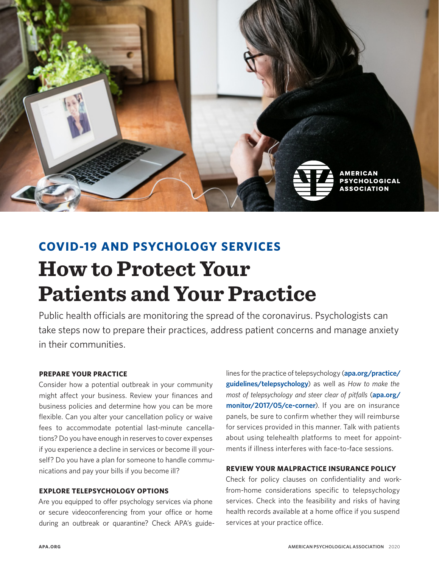

# **COVID-19 AND PSYCHOLOGY SERVICES How to Protect Your Patients and Your Practice**

Public health officials are monitoring the spread of the coronavirus. Psychologists can take steps now to prepare their practices, address patient concerns and manage anxiety in their communities.

## **PREPARE YOUR PRACTICE**

Consider how a potential outbreak in your community might affect your business. Review your finances and business policies and determine how you can be more flexible. Can you alter your cancellation policy or waive fees to accommodate potential last-minute cancellations? Do you have enough in reserves to cover expenses if you experience a decline in services or become ill yourself? Do you have a plan for someone to handle communications and pay your bills if you become ill?

## **EXPLORE TELEPSYCHOLOGY OPTIONS**

Are you equipped to offer psychology services via phone or secure videoconferencing from your office or home during an outbreak or quarantine? Check APA's guidelines for the practice of telepsychology (**[apa.org/practice/](https://www.apa.org/practice/guidelines/telepsychology) [guidelines/telepsychology](https://www.apa.org/practice/guidelines/telepsychology)**) as well as *How to make the most of telepsychology and steer clear of pitfalls* (**[apa.org/](https://www.apa.org/monitor/2017/05/ce-corner) [monitor/2017/05/ce-corner](https://www.apa.org/monitor/2017/05/ce-corner)**). If you are on insurance panels, be sure to confirm whether they will reimburse for services provided in this manner. Talk with patients about using telehealth platforms to meet for appointments if illness interferes with face-to-face sessions.

# **REVIEW YOUR MALPRACTICE INSURANCE POLICY**

Check for policy clauses on confidentiality and workfrom-home considerations specific to telepsychology services. Check into the feasibility and risks of having health records available at a home office if you suspend services at your practice office.